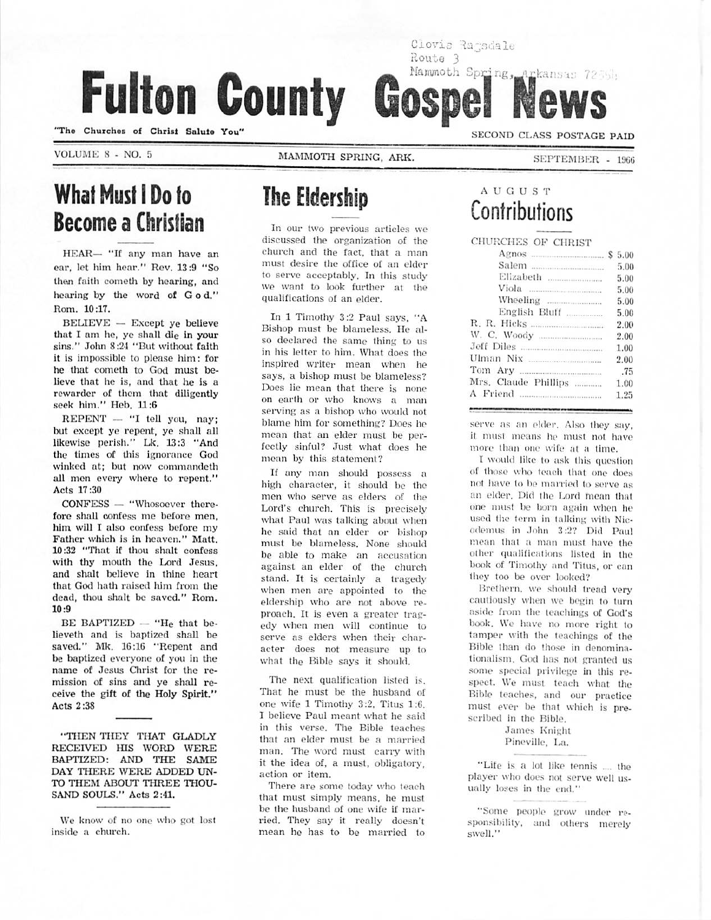Fulton County

"Tho Churchos of Christ Salulo You"

VOLUME 8 - NO. 5 MAMMOTH SPRING. ARK.

SEPTEMBER - 1966

SECOND CLASS POSTAGE PAID

# What Musi I Do to Become a Christian

HEAR— "If any man have an car, let him hoar." Rev. 13:9 "So then faith cometh by hearing, and hearing by the word of God." Rom. 10:17.

BELIEVE — Except ye believe that I am he, ye shall die in your sins." John 8:24 "But without faith it is impossible to please him: for he that cometh to God must be lieve that he is, and that he is a rewarder of them that diligently seek him." Heb. 11:6

REPENT — "I tell you, nay; but except ye repent, ye Shall all likewise perish." Lk. L3:3 "And the times of this ignorance God winked at; but now commandeth all men every where to repent." Acts 17:30

CONFESS — "Whosoever there fore shall confess me before men, him will I also confess before my Father which is in heaven." Matt. 10:32 "That if thou shalt confess with thy mouth the Lord Jesus, and shalt believe in thine heart that God hath raised him from the dead, thou shalt be saved." Rom. 10:9

BE BAPTIZED  $-$  "He that believeth and is baptized shall be saved." Mk. 16:16 "Repent and be baptized everyone of you in the name of Jesus Christ for the re mission of sins and ye shall re ceive the gift of the Holy Spirit." Acts 2:38

"THEN THEY THAT GLADLY RECEIVED HIS WORD WERE BAPTIZED: AND THE SAME DAY THERE WERE ADDED UN TO THEM ABOUT THREE THOU SAND SOULS." Acts 2:41.

We know of no one who got lost inside a church.

# The Eldership

In our two previous articles we discussed the organization of the church and the fact, that a man must desire the office of an elder to serve acceptably. In this study we want to look further at the qualifications of an elder.

In 1 Timothy 3:2 Paul says, "A Bishop must be blameless. He al so declared the same thing to us in his letter to him. What does theinspired writer mean when he says, a bishop must be blameless? Does lie mean that there is none on earth or who knows a man serving as a bishop who would not blame him for something? Does he mean that an elder must be per fectly sinful? Just what does he mean by this statement?

If any man should possess a high character, it should be the men who serve as elders of the Lord's church. This is precisely what Paul was talking about when he said that an elder or bishop must be blameless. None should be able to make an accusation against an elder of the church stand. It is certainly a tragedy when men are appointed to the eldership who are not above re proach. It is even a greater trag edy when men will continue to serve as elders when their char acter does not measure up to what the Bible says it should.

The next qualification listed is. That he must be the husband of one wife 1 Timothy 3:2. Titus 1:6. 1 believe Paul meant what he said in this verse. The Bible teaches that an elder must be a married man. The word must carry with it the idea of. a must, obligatory, action or item.

There are some today who teach that must simply means, he must be the husband of one wife if mar ried. They say it really doesn't mean he has to be married to

### A I' G U S T Contributions

Mammoth Spring, Arkansas 7255h

Clovis Ragsdale

Route 3

Gospe

CHURCHES OF CHRIST

|                      | 5.00 |
|----------------------|------|
| Elizabeth            | 5.00 |
|                      | 5.00 |
|                      | 5.00 |
| English Bluff        | 5.00 |
|                      | 2.00 |
|                      | 2.00 |
| Jeff Diles           | 1.00 |
|                      | 2.00 |
|                      | .75  |
| Mrs. Claude Phillips | 1.00 |
|                      | 1.25 |
|                      |      |

serve as an elder, Also they say. it must means he must not have more than one wife at a time.

I would like to ask Ihis question of those who tench that one does not have to be married to serve as an elder. Did the Lord mean that one must be horn again when he used the term in talking with Nicodemus in John 3:2? Did Paul mean thai a man must have the other qualifications listed in the book of Timothy and Titus, or can they too be over looked?

Brethern, we should tread very cautiously when we begin to turn aside from the teachings of God's book. We have no more right to tamper with the teachings of the Bible than do those in denominationalism. God has not granted us some special privilege in this re spect. We must teach what the Bible teaches, and our practice must ever be that which is pre scribed in the Bible.

> James Knight Pineville, La.

"Life is a lot like tennis .... the player who does not serve well us ually loses in the end."

<sup>&</sup>quot;Some people grow under re sponsibility, and others merely swell."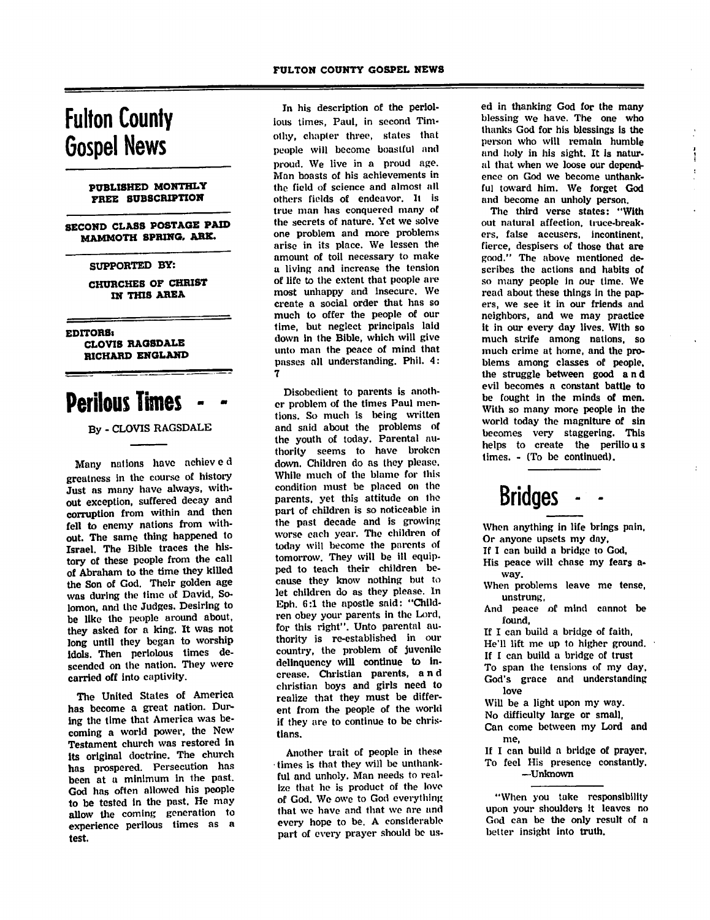# Fulton County Gospel News

#### PUBLISHED MONTHLY FREE SUBSCRIPTION

SECOND CLASS POSTAGE PAID MAMMOTH SPRING, ARK.

#### SUPPORTED BY:

CHURCHES OF CHRIST IN THIS AREA

EDrrORSi CLOVIS RAGSDALE RICHARD ENGLAND

## **Perilous Times**

By - CLOVIS RAGSDALE

Many nations have achiev e d greatness in the course of history Just as many have always, with out exception, suffered decay and corruption from within and then fell to enemy nations from with out. The same thing happened to Israel. The Bible traces the his tory of these people from the call of Abraham to the time they killed the Son of God. Their golden age was during the time of David, So lomon, and the Judges. Desiring to be like the people around about, they asked for a king. It was not long until they began to worship Idols. Then periolous times de scended on the nation. They were carried off into captivity.

The United Stales of America has become a great nation. Dur ing the time that America was be coming a world power, the New Testament church was restored in its original doctrine. The church has prospered. Persecution has been at a minimum in the past. God has often allowed his people to be tested in the past. He may allow the coming generation to experience perilous times as a test.

In his description of the periolious times, Paul, in second Tim othy, chapter three, states that people will become boastful and proud. We live in a proud age. Man hoasts of his achievements in the field of science and almost all others fields of endeavor. It is true man has conquered many of the secrets of nature. Yet we solve one problem and more problems arise in its place. We lessen the amount of toil necessary to make a living and increase the tension of life to the extent that people are most unhappy and insecure. We create a social order that has so much to offer the people of our time, but neglect principals laid down in the Bible, which will give unto man the peace of mind that passes all understanding. Phil. 4: 7

Disobedient to parents is anoth er problem of the times Paul men tions. So much is being written and said about the problems of the youth of today. Parental au thority seems to have broken down. Children do as they please. While much of the blame for Ihis condition must be placed on the parents, yet this attitude on tho part of children is so noticeable in the past decade and is growing worse each year. The children of today will become the parents of tomorrow. They will be ill equip ped to teach their children be cause they know nothing but to let children do as they please. In Eph. 6:1 the apostle said: "Child ren obey your parents in the Lord, for this right". Unto parental au thority is re-established in our country, the problem of juvenile delinquency will continue to in crease. Christian parents, and christian boys and girls need to realize that they must be differ ent from the people of the world if they are to continue to be chris tians.

Another trait of people in these times is that they will be unthank ful and unholy. Man needs to real ize that he is product of the love of God. We owe to God everything that we have and that we are and every hope to be. A considerable part of every prayer should be us ed in thanking God for the many blessing we have. The one who thanks God for his blessings is the person who will remain humble and holy in his sight. It is natur al that when we loose our depend ence on God we become unthank ful toward him. We forget God and become an unholy person.

The third verse states: "With out natural affection, truce-break ers, false accusers, incontinent, fierce, despisers of those that are good." The above mentioned de scribes the actions and habits of so many people in our time. We read about these things in the pap ers, we see it in our friends and neighbors, and we may practice it in our every day lives. With so much strife among nations, so much crime at home, and the pro blems among classes of people, the struggle between good and evil becomes a constant battle to be fought in the minds of men. With so many more people in the world today the magnlture of sin becomes very staggering. This helps to create the perilious times. - (To be continued).

# Bridges

When anything in life brings pain, Or anyone upsets my day,

If I can build a bridge to God,

His peace will chase my fears away.

When problems leave me tense,<br>unstrung,

And peace of mind cannot be found,

If I can build a bridge of faith,

He'll lift me up to higher ground.

If I can build a bridge of trust

To span the tensions of my day, God's grace and understanding love

Will be a light upon my way.

No difficulty large or small,

Can come between my Lord and me,

If I can build a bridge of prayer, To feel His presence constantly. —Unknown

"When you take responsibility upon your shoulders it leaves no God can be the only result of a belter insight into truth.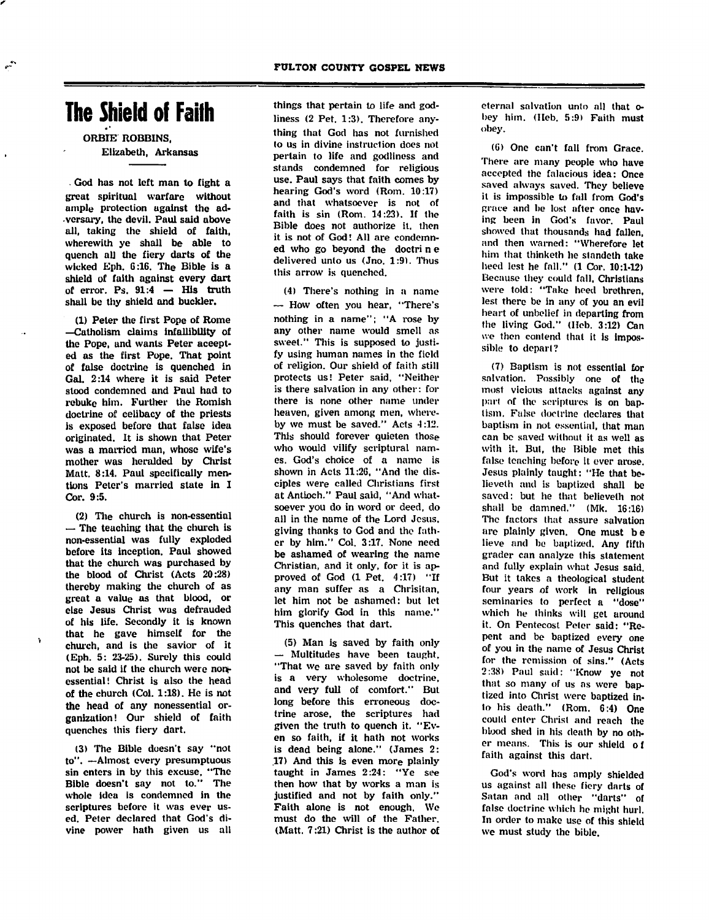## The Shield of Faith

ORBIE ROBBINS, Elizabeth, Arkansas

God has not left man to fight a great spiritual warfare without ample protection against the ad versary, the devil. Paul said above all, taking the shield of faith, wherewith ye shall be able to quench all the fiery darts of the wicked Eph. 6:16. The Bible is a shield of faith against every dart of error. Ps.  $91:4$  - His truth shall be thy shield and buckler.

(1) Peter the first Pope of Rome —Cutholism claims infallibility of the Pope, and wants Peter accept ed as the first Pope. That point of false doctrine is quenched in Gal. 2:14 where it is said Peter stood condemned and Paul had to rebuke him. Further the Romish doctrine of celibacy of the priests is exposed before that false idea originated. It is shown that Peter was a married man, whose wife's mother was heralded by Christ Matt. 8:14. Paul specifically men tions Peter's married state in I Cor. 9:5.

(2) The church is non-essential — The teaching that the church is non-essential was fully exploded before its inception. Paul showed that the church was purchased by the blood of Christ (Acts 20:28) thereby making the church of as great a value as that blood, or else Jesus Christ was defrauded of his life. Secondly it is known that he gave himself for the church, and is the savior of it (Eph. 5: 23-25). Surely this could not be said if the church were nonessential! Christ is also the head of the church (Col. 1:18). He is not the head of any nonessential or ganization! Our shield of faith quenches this fiery dart.

(3) The Bible doesn't say "not to". —Almost every presumptuous sin enters in by this excuse, "The Bible doesn't say not to." The whole idea is condemned in the scriptures before it was ever us ed. Peter declared that God's di vine power hath given us all

things that pertain to life and god liness (2 Pet. 1:3). Therefore any thing that God has not furnished to us in divine instruction does not pertain to life and godliness and stands condemned for religious use. Paul says that faith comes by hearing God's word (Rom. 10:17) and that whatsoever is not of faith is sin (Rom. 14:23). If the Bible does not authorize it. then it is not of God! All are condemn ed who go beyond the doctri n e delivered unto us (Jno. 1:9). Thus this arrow is quenched.

(4) There's nothing in a name — How often you hear, "There's nothing in a name"; "A rose by any other name would smell as sweet." This is supposed to justi fy using human names in the field of religion. Our shield of faith still protects us! Peter said, "Neither is there salvation in any other: for there is none other name under heaven, given among men, where by we must be saved." Acts 4:12. This should forever quieten those who would vilify scriptural nam es. God's choice of a name is shown in Acts 11:26, "And the dis ciples were called Christians first at Antioch." Paul said, "And what soever you do in word or deed, do all in the name of the Lord Jesus, giving thanks to God and the fath er by him." Col. 3:17. None need be ashamed of wearing the name Christian, and it only, for it is ap proved of God (1 Pet. 4:17) "If any man suffer as a Chrisitan, let him not be ashamed: but let him glorify God in this name." This quenches that dart.

(5) Man is saved by faith only — Multitudes have been taught, "That we are saved by faith only is a very wholesome doctrine, and very full of comfort." But long before this erroneous doc trine arose, the scriptures had given the truth to quench it. "Ev en so faith, if it hath not works is dead being alone." (James 2: .17) And this is even more plainly taught in James 2:24: "Ye see then how that by works a man is justified and not by faith only." Faith alone is not enough. We must do the will of the Father. (Matt. 7:21) Christ is the author of

eternal salvation unto all that obey him. (Heb. 5:9) Faith must obey.

(G) One can't fall from Grace. There are many people who have accepted the falacious idea: Once saved always saved. They believe it is impossible to fall from God's grace and be lost after once hav ing been in God's favor. Paul showed that thousands had fallen, and then warned: "Wherefore let him that thinketh he slandeth take heed lest he fall." (1 Cor. 10:1-12) Because they could fall, Christians were told: "Take heed brethren, lest there be in any of you an evil heart of unbelief in departing from the living God." (Heb. 3:12) Can we then contend that it is impos sible to depart?

(7) Baptism is not essential for salvation. Possibly one of the most vicious uttacks against any part of the scriptures is on baptism. False doctrine declares that baptism in not essential, that man can be saved without it as well as with it. Bui, the Bible met this false teaching before it ever arose. Jesus plainly taught: "He that believeth and is baptized shall be saved: but he that believelh not shall be damned." (Mk. 16:16) The factors that assure salvation are plainly given. One must be lieve and be baptized. Any fifth grader can analyze this statement and fully explain what Jesus said. But it takes a theological student four years of work in religious seminaries to perfect a "dose" which he thinks will get around it. On Pentecost Peter said: "Re pent and be baptized every one of you in the name of Jesus Christ for the remission of sins." (Acts 2:38) Paul said: "Know ye not that so many of us as were bap tized into Christ were baptized in to his death." (Rom. 6:4) One could enter Christ and reach the blood shed in his death by no oth er means. This is our shield of faith against this dart.

God's word has amply shielded us against all these fiery darts of Satan and all other "darts" of false doctrine which he might hurl. In order to make use of this shield we must study the bible.